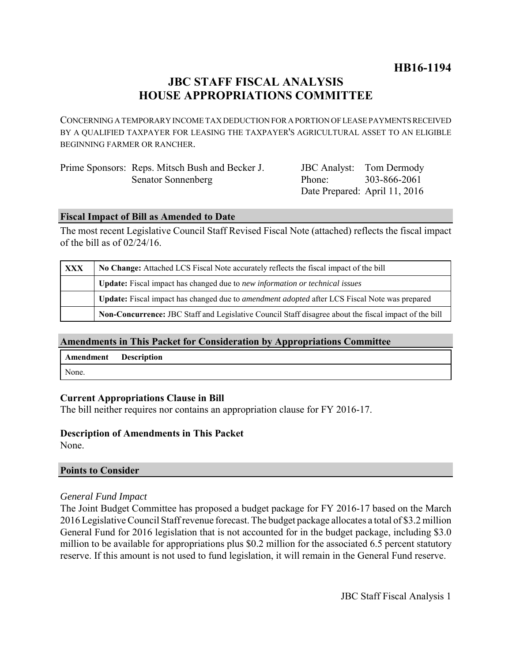# **JBC STAFF FISCAL ANALYSIS HOUSE APPROPRIATIONS COMMITTEE**

CONCERNING A TEMPORARY INCOME TAX DEDUCTION FOR A PORTION OF LEASE PAYMENTS RECEIVED BY A QUALIFIED TAXPAYER FOR LEASING THE TAXPAYER'S AGRICULTURAL ASSET TO AN ELIGIBLE BEGINNING FARMER OR RANCHER.

| Prime Sponsors: Reps. Mitsch Bush and Becker J. |
|-------------------------------------------------|
| Senator Sonnenberg                              |

JBC Analyst: Tom Dermody Phone: Date Prepared: April 11, 2016 303-866-2061

### **Fiscal Impact of Bill as Amended to Date**

The most recent Legislative Council Staff Revised Fiscal Note (attached) reflects the fiscal impact of the bill as of 02/24/16.

| <b>XXX</b> | No Change: Attached LCS Fiscal Note accurately reflects the fiscal impact of the bill                       |  |
|------------|-------------------------------------------------------------------------------------------------------------|--|
|            | <b>Update:</b> Fiscal impact has changed due to new information or technical issues                         |  |
|            | <b>Update:</b> Fiscal impact has changed due to <i>amendment adopted</i> after LCS Fiscal Note was prepared |  |
|            | Non-Concurrence: JBC Staff and Legislative Council Staff disagree about the fiscal impact of the bill       |  |

# **Amendments in This Packet for Consideration by Appropriations Committee**

| Amendment | <b>Description</b> |
|-----------|--------------------|
| None.     |                    |

# **Current Appropriations Clause in Bill**

The bill neither requires nor contains an appropriation clause for FY 2016-17.

# **Description of Amendments in This Packet**

None.

#### **Points to Consider**

#### *General Fund Impact*

The Joint Budget Committee has proposed a budget package for FY 2016-17 based on the March 2016 Legislative Council Staff revenue forecast. The budget package allocates a total of \$3.2 million General Fund for 2016 legislation that is not accounted for in the budget package, including \$3.0 million to be available for appropriations plus \$0.2 million for the associated 6.5 percent statutory reserve. If this amount is not used to fund legislation, it will remain in the General Fund reserve.